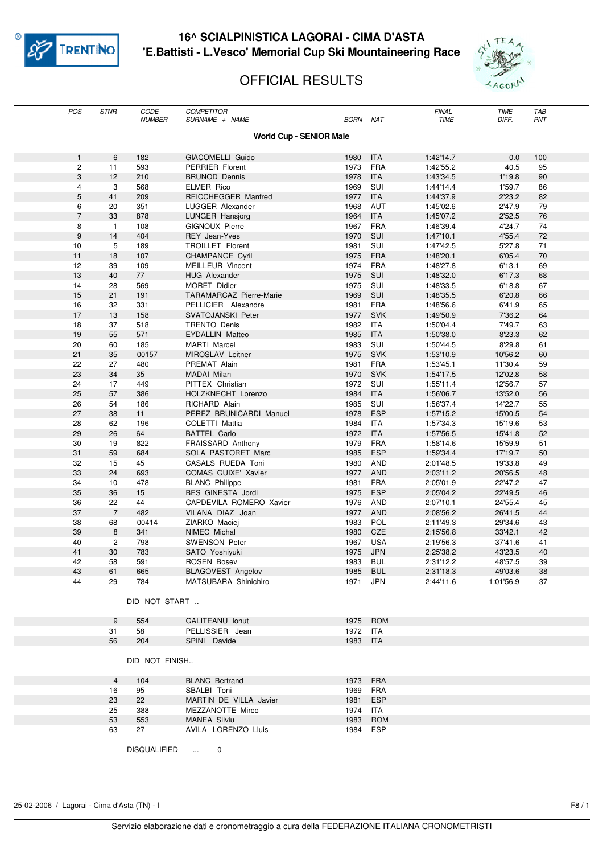

## **16^ SCIALPINISTICA LAGORAI - CIMA D'ASTA 'E.Battisti - L.Vesco' Memorial Cup Ski Mountaineering Race**





| POS                            | <b>STNR</b>    | CODE<br><b>NUMBER</b> | <b>COMPETITOR</b><br>SURNAME + NAME            | <i>BORN</i>      | <b>NAT</b> | <b>FINAL</b><br><b>TIME</b> | <b>TIME</b><br>DIFF. | <b>TAB</b><br>PNT |  |
|--------------------------------|----------------|-----------------------|------------------------------------------------|------------------|------------|-----------------------------|----------------------|-------------------|--|
|                                |                |                       |                                                |                  |            |                             |                      |                   |  |
| <b>World Cup - SENIOR Male</b> |                |                       |                                                |                  |            |                             |                      |                   |  |
| $\mathbf{1}$                   | 6              | 182                   | <b>GIACOMELLI Guido</b>                        | 1980             | <b>ITA</b> | 1:42'14.7                   | 0.0                  | 100               |  |
| $\overline{c}$                 | 11             | 593                   | <b>PERRIER Florent</b>                         | 1973             | <b>FRA</b> | 1:42'55.2                   | 40.5                 | 95                |  |
| 3                              | 12             | 210                   | <b>BRUNOD Dennis</b>                           | 1978             | <b>ITA</b> | 1:43'34.5                   | 1'19.8               | 90                |  |
| 4                              | 3              | 568                   | <b>ELMER Rico</b>                              | 1969             | SUI        | 1:44'14.4                   | 1'59.7               | 86                |  |
| 5                              | 41             | 209                   | REICCHEGGER Manfred                            | 1977             | <b>ITA</b> | 1:44'37.9                   | 2'23.2               | 82                |  |
| 6                              | 20             | 351                   | LUGGER Alexander                               | 1968             | <b>AUT</b> | 1:45'02.6                   | 2'47.9               | 79                |  |
| $\overline{7}$                 | 33             | 878                   | LUNGER Hansjorg                                | 1964             | <b>ITA</b> | 1:45'07.2                   | 2'52.5               | 76                |  |
| 8                              | $\mathbf{1}$   | 108                   | <b>GIGNOUX Pierre</b>                          | 1967             | <b>FRA</b> | 1:46'39.4                   | 4'24.7               | 74                |  |
| $9\,$                          | 14             | 404                   | <b>REY Jean-Yves</b>                           | 1970             | SUI        | 1:47'10.1                   | 4'55.4               | 72                |  |
| 10                             | 5              | 189                   | TROILLET Florent                               | 1981             | SUI        | 1:47'42.5                   | 5'27.8               | 71                |  |
| 11                             | 18             | 107                   | <b>CHAMPANGE Cyril</b>                         | 1975             | <b>FRA</b> | 1:48'20.1                   | 6'05.4               | 70                |  |
| 12                             | 39             | 109                   | <b>MEILLEUR Vincent</b>                        | 1974             | <b>FRA</b> | 1:48'27.8                   | 6'13.1               | 69                |  |
| 13                             | 40             | 77                    | <b>HUG Alexander</b>                           | 1975             | SUI        | 1:48'32.0                   | 6'17.3               | 68                |  |
| 14                             | 28             | 569                   | <b>MORET Didier</b>                            | 1975             | SUI        | 1:48'33.5                   | 6'18.8               | 67                |  |
| 15                             | 21             | 191                   | <b>TARAMARCAZ Pierre-Marie</b>                 | 1969             | SUI        | 1:48'35.5                   | 6'20.8               | 66                |  |
| 16                             | 32             | 331                   | PELLICIER Alexandre                            | 1981             | <b>FRA</b> | 1:48'56.6                   | 6'41.9               | 65                |  |
| 17                             | 13             | 158                   | <b>SVATOJANSKI Peter</b>                       | 1977             | <b>SVK</b> | 1:49'50.9                   | 7'36.2               | 64                |  |
| 18                             | 37             | 518                   | <b>TRENTO Denis</b>                            | 1982             | <b>ITA</b> | 1:50'04.4                   | 7'49.7               | 63                |  |
| 19                             | 55             | 571                   | <b>EYDALLIN Matteo</b>                         | 1985             | <b>ITA</b> | 1:50'38.0                   | 8'23.3               | 62                |  |
| 20                             | 60             | 185                   | <b>MARTI Marcel</b>                            | 1983             | SUI        | 1:50'44.5                   | 8'29.8               | 61                |  |
| 21                             | 35             | 00157                 | MIROSLAV Leitner                               | 1975             | <b>SVK</b> | 1:53'10.9                   | 10'56.2              | 60                |  |
| 22                             | 27             | 480                   | PREMAT Alain                                   | 1981             | <b>FRA</b> | 1:53'45.1                   | 11'30.4              | 59                |  |
| 23                             | 34             | 35                    | MADAI Milan                                    | 1970             | <b>SVK</b> | 1:54'17.5                   | 12'02.8              | 58                |  |
| 24                             | 17             | 449                   | PITTEX Christian                               | 1972             | SUI        | 1:55'11.4                   | 12'56.7              | 57                |  |
| 25                             | 57             | 386                   | HOLZKNECHT Lorenzo                             | 1984             | <b>ITA</b> | 1:56'06.7                   | 13'52.0              | 56                |  |
| 26                             | 54             | 186                   | RICHARD Alain                                  | 1985             | SUI        | 1:56'37.4                   | 14'22.7              | 55                |  |
| 27                             | 38             | 11                    | PEREZ BRUNICARDI Manuel                        | 1978             | <b>ESP</b> | 1:57'15.2                   | 15'00.5              | 54                |  |
| 28                             | 62             | 196                   | COLETTI Mattia                                 | 1984             | <b>ITA</b> | 1:57'34.3                   | 15'19.6              | 53                |  |
| 29                             | 26             | 64                    | <b>BATTEL Carlo</b>                            | 1972             | <b>ITA</b> | 1:57'56.5                   | 15'41.8              | 52                |  |
| 30                             | 19             | 822                   | FRAISSARD Anthony                              | 1979             | <b>FRA</b> | 1:58'14.6                   | 15'59.9              | 51                |  |
| 31                             | 59             | 684                   | SOLA PASTORET Marc                             | 1985             | <b>ESP</b> | 1:59'34.4                   | 17'19.7              | 50                |  |
| 32                             | 15             | 45                    | CASALS RUEDA Toni                              | 1980             | AND        | 2:01'48.5                   | 19'33.8              | 49                |  |
| 33                             | 24             | 693                   | COMAS GUIXE' Xavier                            | 1977             | <b>AND</b> | 2:03'11.2                   | 20'56.5              | 48                |  |
| 34                             | 10             | 478                   | <b>BLANC Philippe</b>                          | 1981             | <b>FRA</b> | 2:05'01.9                   | 22'47.2              | 47                |  |
| 35                             | 36             | 15                    | BES GINESTA Jordi                              | 1975             | <b>ESP</b> | 2:05'04.2                   | 22'49.5              | 46                |  |
| 36                             | 22             | 44                    | CAPDEVILA ROMERO Xavier                        | 1976             | <b>AND</b> | 2:07'10.1                   | 24'55.4              | 45                |  |
| 37                             | $\overline{7}$ | 482                   | VILANA DIAZ Joan                               | 1977             | <b>AND</b> | 2:08'56.2                   | 26'41.5              | 44                |  |
| 38                             | 68             | 00414                 | ZIARKO Maciej                                  | 1983             | POL        | 2:11'49.3                   | 29'34.6              | 43                |  |
| 39                             | 8              | 341                   | NIMEC Michal                                   | 1980             | CZE        | 2:15'56.8                   | 33'42.1              | 42                |  |
| 40                             | $\overline{c}$ | 798                   | <b>SWENSON Peter</b>                           | 1967             | <b>USA</b> | 2:19'56.3                   | 37'41.6              | 41                |  |
| 41                             | 30             | 783                   | SATO Yoshiyuki                                 | 1975             | <b>JPN</b> | 2:25'38.2                   | 43'23.5              | 40                |  |
| 42<br>43                       | 58<br>61       | 591<br>665            | <b>ROSEN Bosev</b><br><b>BLAGOVEST Angelov</b> | 1983 BUL<br>1985 | <b>BUL</b> | 2:31'12.2<br>2:31'18.3      | 48'57.5<br>49'03.6   | 39<br>38          |  |
| 44                             | 29             | 784                   | MATSUBARA Shinichiro                           | 1971             | <b>JPN</b> | 2:44'11.6                   | 1:01'56.9            | 37                |  |
|                                |                |                       |                                                |                  |            |                             |                      |                   |  |
|                                |                | DID NOT START         |                                                |                  |            |                             |                      |                   |  |
|                                |                |                       |                                                |                  |            |                             |                      |                   |  |
|                                | 9              | 554                   | <b>GALITEANU lonut</b>                         | 1975             | <b>ROM</b> |                             |                      |                   |  |
|                                | 31             | 58                    | PELLISSIER Jean                                | 1972 ITA         |            |                             |                      |                   |  |
|                                | 56             | 204                   | SPINI Davide                                   | 1983 ITA         |            |                             |                      |                   |  |
|                                |                | DID NOT FINISH        |                                                |                  |            |                             |                      |                   |  |
|                                | $\overline{4}$ | 104                   | <b>BLANC</b> Bertrand                          | 1973             | <b>FRA</b> |                             |                      |                   |  |
|                                | 16             | 95                    | SBALBI Toni                                    | 1969             | FRA        |                             |                      |                   |  |
|                                | 23             | 22                    | MARTIN DE VILLA Javier                         | 1981             | ESP        |                             |                      |                   |  |
|                                | 25             | 388                   | MEZZANOTTE Mirco                               | 1974             | ITA        |                             |                      |                   |  |
|                                | 53             | 553                   | <b>MANEA Silviu</b>                            | 1983             | <b>ROM</b> |                             |                      |                   |  |
|                                | 63             | 27                    | AVILA LORENZO Lluis                            | 1984             | ESP        |                             |                      |                   |  |
|                                |                | <b>DISQUALIFIED</b>   | 0                                              |                  |            |                             |                      |                   |  |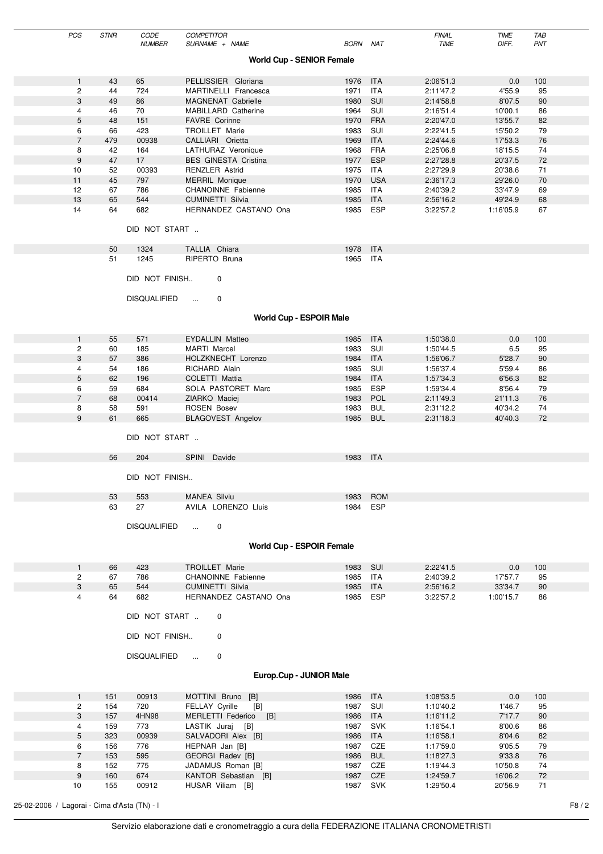|                                  | POS            | <b>STNR</b> | CODE<br><b>NUMBER</b> | <b>COMPETITOR</b><br>SURNAME + NAME | <b>BORN NAT</b> |                          | <b>FINAL</b><br><b>TIME</b> | TIME<br>DIFF. | TAB<br>PNT |
|----------------------------------|----------------|-------------|-----------------------|-------------------------------------|-----------------|--------------------------|-----------------------------|---------------|------------|
|                                  |                |             |                       |                                     |                 |                          |                             |               |            |
| <b>World Cup - SENIOR Female</b> |                |             |                       |                                     |                 |                          |                             |               |            |
|                                  | $\mathbf{1}$   | 43          | 65                    | PELLISSIER Gloriana                 | 1976            | ITA                      | 2:06'51.3                   | 0.0           | 100        |
|                                  | $\overline{c}$ | 44          | 724                   | MARTINELLI Francesca                | 1971            | <b>ITA</b>               | 2:11'47.2                   | 4'55.9        | 95         |
|                                  | 3              | 49          | 86                    | MAGNENAT Gabrielle                  | 1980            | SUI                      | 2:14'58.8                   | 8'07.5        | 90         |
|                                  | 4              | 46          | 70                    | MABILLARD Catherine                 | 1964            | SUI                      | 2:16'51.4                   | 10'00.1       | 86         |
|                                  | 5              | 48          | 151                   | <b>FAVRE Corinne</b>                | 1970            | <b>FRA</b>               | 2:20'47.0                   | 13'55.7       | 82         |
|                                  | 6              | 66          | 423                   | TROILLET Marie                      | 1983            | SUI                      | 2:22'41.5                   | 15'50.2       | 79         |
|                                  | $\overline{7}$ | 479         | 00938                 | CALLIARI Orietta                    | 1969            | <b>ITA</b>               | 2:24'44.6                   | 17'53.3       | 76         |
|                                  | 8              | 42          | 164                   | LATHURAZ Veronique                  | 1968            | <b>FRA</b>               | 2:25'06.8                   | 18'15.5       | 74         |
|                                  | 9              | 47          | 17                    | <b>BES GINESTA Cristina</b>         | 1977            | <b>ESP</b>               | 2:27'28.8                   | 20'37.5       | 72         |
|                                  | 10             | 52          | 00393                 | <b>RENZLER Astrid</b>               | 1975            | ITA                      | 2:27'29.9                   | 20'38.6       | 71         |
|                                  | 11             | 45          | 797                   | <b>MERRIL Monique</b>               | 1970            | <b>USA</b>               | 2:36'17.3                   | 29'26.0       | 70         |
|                                  | 12             | 67          | 786                   | CHANOINNE Fabienne                  | 1985            | ITA                      | 2:40'39.2                   | 33'47.9       | 69         |
|                                  | 13<br>14       | 65          | 544<br>682            | <b>CUMINETTI Silvia</b>             | 1985<br>1985    | <b>ITA</b><br><b>ESP</b> | 2:56'16.2                   | 49'24.9       | 68         |
|                                  |                | 64          |                       | HERNANDEZ CASTANO Ona               |                 |                          | 3:22'57.2                   | 1:16'05.9     | 67         |
|                                  |                |             | DID NOT START         |                                     |                 |                          |                             |               |            |
|                                  |                |             |                       |                                     |                 |                          |                             |               |            |
|                                  |                | 50          | 1324                  | TALLIA Chiara                       | 1978 ITA        |                          |                             |               |            |
|                                  |                | 51          | 1245                  | RIPERTO Bruna                       | 1965            | ITA                      |                             |               |            |
|                                  |                |             | DID NOT FINISH        | $\mathbf 0$                         |                 |                          |                             |               |            |
|                                  |                |             | <b>DISQUALIFIED</b>   | $\mathbf 0$<br>$\sim 10^{-1}$       |                 |                          |                             |               |            |
|                                  |                |             |                       | <b>World Cup - ESPOIR Male</b>      |                 |                          |                             |               |            |
|                                  |                |             |                       |                                     |                 |                          |                             |               |            |
|                                  | $\mathbf{1}$   | 55          | 571                   | <b>EYDALLIN Matteo</b>              | 1985            | ITA                      | 1:50'38.0                   | 0.0           | 100        |
|                                  | $\overline{c}$ | 60          | 185                   | <b>MARTI Marcel</b>                 | 1983            | SUI                      | 1:50'44.5                   | 6.5           | 95         |
|                                  | 3              | 57          | 386                   | HOLZKNECHT Lorenzo                  | 1984            | <b>ITA</b>               | 1:56'06.7                   | 5'28.7        | 90         |
|                                  | 4              | 54          | 186                   | RICHARD Alain                       | 1985            | SUI                      | 1:56'37.4                   | 5'59.4        | 86         |
|                                  | 5              | 62          | 196                   | COLETTI Mattia                      | 1984            | <b>ITA</b>               | 1:57'34.3                   | 6'56.3        | 82         |
|                                  | 6              | 59          | 684                   | SOLA PASTORET Marc                  | 1985            | <b>ESP</b>               | 1:59'34.4                   | 8'56.4        | 79         |
|                                  | $\overline{7}$ | 68          | 00414                 | ZIARKO Maciej                       | 1983            | POL                      | 2:11'49.3                   | 21'11.3       | 76         |
|                                  | 8              | 58          | 591                   | <b>ROSEN Bosev</b>                  | 1983            | <b>BUL</b>               | 2:31'12.2                   | 40'34.2       | 74         |
|                                  | 9              | 61          | 665                   | <b>BLAGOVEST Angelov</b>            | 1985            | <b>BUL</b>               | 2:31'18.3                   | 40'40.3       | 72         |
|                                  |                |             | DID NOT START         |                                     |                 |                          |                             |               |            |
|                                  |                | 56          | 204                   | SPINI Davide                        | 1983 ITA        |                          |                             |               |            |
|                                  |                |             |                       |                                     |                 |                          |                             |               |            |
|                                  |                |             | DID NOT FINISH        |                                     |                 |                          |                             |               |            |
|                                  |                | 53          | 553                   | <b>MANEA Silviu</b>                 | 1983            | <b>ROM</b>               |                             |               |            |
|                                  |                | 63          | 27                    | AVILA LORENZO Lluis                 | 1984 ESP        |                          |                             |               |            |
|                                  |                |             | <b>DISQUALIFIED</b>   | 0<br>$\sim 10^{-1}$                 |                 |                          |                             |               |            |
|                                  |                |             |                       |                                     |                 |                          |                             |               |            |
|                                  |                |             |                       | <b>World Cup - ESPOIR Female</b>    |                 |                          |                             |               |            |
|                                  | 1              | 66          | 423                   | <b>TROILLET Marie</b>               | 1983            | – SUI                    | 2:22'41.5                   | 0.0           | 100        |
|                                  | $\overline{2}$ | 67          | 786                   | CHANOINNE Fabienne                  | 1985 ITA        |                          | 2:40'39.2                   | 17'57.7       | 95         |
|                                  | 3              | 65          | 544                   | <b>CUMINETTI Silvia</b>             | 1985            | <b>ITA</b>               | 2:56'16.2                   | 33'34.7       | 90         |
|                                  | 4              | 64          | 682                   | HERNANDEZ CASTANO Ona               | 1985 ESP        |                          | 3:22'57.2                   | 1:00'15.7     | 86         |
|                                  |                |             | DID NOT START         | $\mathbf 0$                         |                 |                          |                             |               |            |
|                                  |                |             | DID NOT FINISH        | 0                                   |                 |                          |                             |               |            |
|                                  |                |             | <b>DISQUALIFIED</b>   | 0<br>$\sim 10^{-1}$                 |                 |                          |                             |               |            |
|                                  |                |             |                       | Europ.Cup - JUNIOR Male             |                 |                          |                             |               |            |
|                                  | $\mathbf{1}$   | 151         | 00913                 | MOTTINI Bruno [B]                   | 1986 ITA        |                          | 1:08'53.5                   | 0.0           | 100        |

|    | 151 | 00913 | MOTTINI Bruno [B]            | 1986 | <b>ITA</b> | 1:08'53.5 | 0.0     | 100 |
|----|-----|-------|------------------------------|------|------------|-----------|---------|-----|
| 2  | 154 | 720   | <b>FELLAY Cyrille</b><br>[B] | 1987 | SUI        | 1:10'40.2 | 1'46.7  | 95  |
| 3  | 157 | 4HN98 | MERLETTI Federico<br>[B]     | 1986 | <b>ITA</b> | 1:16'11.2 | 7'17.7  | 90  |
| 4  | 159 | 773   | LASTIK Juraj [B]             | 1987 | <b>SVK</b> | 1:16'54.1 | 8'00.6  | 86  |
| 5  | 323 | 00939 | SALVADORI Alex [B]           | 1986 | <b>ITA</b> | 1:16'58.1 | 8'04.6  | 82  |
| 6  | 156 | 776   | HEPNAR Jan [B]               | 1987 | CZE        | 1:17'59.0 | 9'05.5  | 79  |
|    | 153 | 595   | GEORGI Radev [B]             | 1986 | <b>BUL</b> | 1:18'27.3 | 9'33.8  | 76  |
| 8  | 152 | 775   | JADAMUS Roman [B]            | 1987 | <b>CZE</b> | 1:19'44.3 | 10'50.8 | 74  |
| 9  | 160 | 674   | KANTOR Sebastian [B]         | 1987 | <b>CZE</b> | 1:24'59.7 | 16'06.2 | 72  |
| 10 | 155 | 00912 | HUSAR Viliam<br>[B]          | 1987 | SVK        | 1:29'50.4 | 20'56.9 | 71  |

25-02-2006 / Lagorai - Cima d'Asta (TN) - I F8 / 2